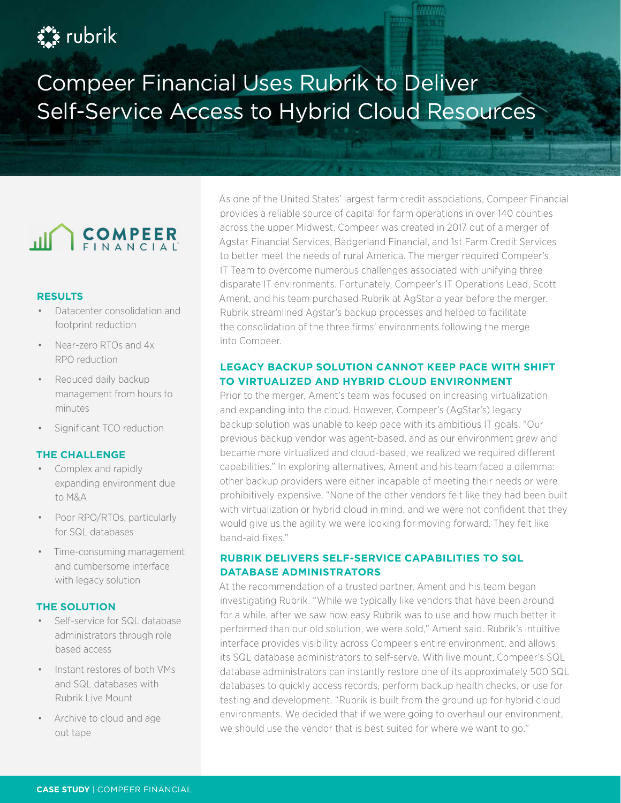# $\sum_{i=1}^{n}$  rubrik

# Compeer Financial Uses Rubrik to Deliver Self-Service Access to Hybrid Cloud Resources



#### **RESULTS**

- Datacenter consolidation and footprint reduction
- Near-zero RTOs and 4x RPO reduction
- Reduced daily backup management from hours to minutes
- Significant TCO reduction

#### **THE CHALLENGE**

- Complex and rapidly expanding environment due to M&A
- Poor RPO/RTOs, particularly for SQL databases
- Time-consuming management and cumbersome interface with legacy solution

#### **THE SOLUTION**

- Self-service for SQL database administrators through role based access
- Instant restores of both VMs and SQL databases with Rubrik Live Mount
- Archive to cloud and age out tape

As one of the United States' largest farm credit associations, Compeer Financial provides a reliable source of capital for farm operations in over 140 counties across the upper Midwest. Compeer was created in 2017 out of a merger of Agstar Financial Services, Badgerland Financial, and 1st Farm Credit Services to better meet the needs of rural America. The merger required Compeer's IT Team to overcome numerous challenges associated with unifying three disparate IT environments. Fortunately, Compeer's IT Operations Lead, Scott Ament, and his team purchased Rubrik at AgStar a year before the merger. Rubrik streamlined Agstar's backup processes and helped to facilitate the consolidation of the three firms' environments following the merge into Compeer.

### **LEGACY BACKUP SOLUTION CANNOT KEEP PACE WITH SHIFT TO VIRTUALIZED AND HYBRID CLOUD ENVIRONMENT**

Prior to the merger, Ament's team was focused on increasing virtualization and expanding into the cloud. However, Compeer's (AgStar's) legacy backup solution was unable to keep pace with its ambitious IT goals. "Our previous backup vendor was agent-based, and as our environment grew and became more virtualized and cloud-based, we realized we required different capabilities." In exploring alternatives, Ament and his team faced a dilemma: other backup providers were either incapable of meeting their needs or were prohibitively expensive. "None of the other vendors felt like they had been built with virtualization or hybrid cloud in mind, and we were not confident that they would give us the agility we were looking for moving forward. They felt like band-aid fixes."

### **RUBRIK DELIVERS SELF-SERVICE CAPABILITIES TO SQL DATABASE ADMINISTRATORS**

At the recommendation of a trusted partner, Ament and his team began investigating Rubrik. "While we typically like vendors that have been around for a while, after we saw how easy Rubrik was to use and how much better it performed than our old solution, we were sold," Ament said. Rubrik's intuitive interface provides visibility across Compeer's entire environment, and allows its SQL database administrators to self-serve. With live mount, Compeer's SQL database administrators can instantly restore one of its approximately 500 SQL databases to quickly access records, perform backup health checks, or use for testing and development. "Rubrik is built from the ground up for hybrid cloud environments. We decided that if we were going to overhaul our environment, we should use the vendor that is best suited for where we want to go."